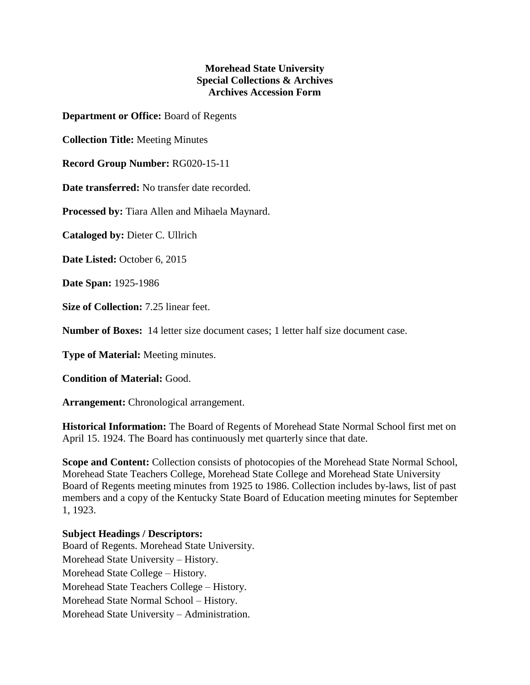## **Morehead State University Special Collections & Archives Archives Accession Form**

**Department or Office:** Board of Regents

**Collection Title:** Meeting Minutes

**Record Group Number:** RG020-15-11

**Date transferred:** No transfer date recorded.

**Processed by:** Tiara Allen and Mihaela Maynard.

**Cataloged by:** Dieter C. Ullrich

**Date Listed:** October 6, 2015

**Date Span:** 1925-1986

**Size of Collection:** 7.25 linear feet.

**Number of Boxes:** 14 letter size document cases; 1 letter half size document case.

**Type of Material:** Meeting minutes.

**Condition of Material:** Good.

**Arrangement:** Chronological arrangement.

**Historical Information:** The Board of Regents of Morehead State Normal School first met on April 15. 1924. The Board has continuously met quarterly since that date.

**Scope and Content:** Collection consists of photocopies of the Morehead State Normal School, Morehead State Teachers College, Morehead State College and Morehead State University Board of Regents meeting minutes from 1925 to 1986. Collection includes by-laws, list of past members and a copy of the Kentucky State Board of Education meeting minutes for September 1, 1923.

## **Subject Headings / Descriptors:**

Board of Regents. Morehead State University. Morehead State University – History. Morehead State College – History. Morehead State Teachers College – History. Morehead State Normal School – History. Morehead State University – Administration.